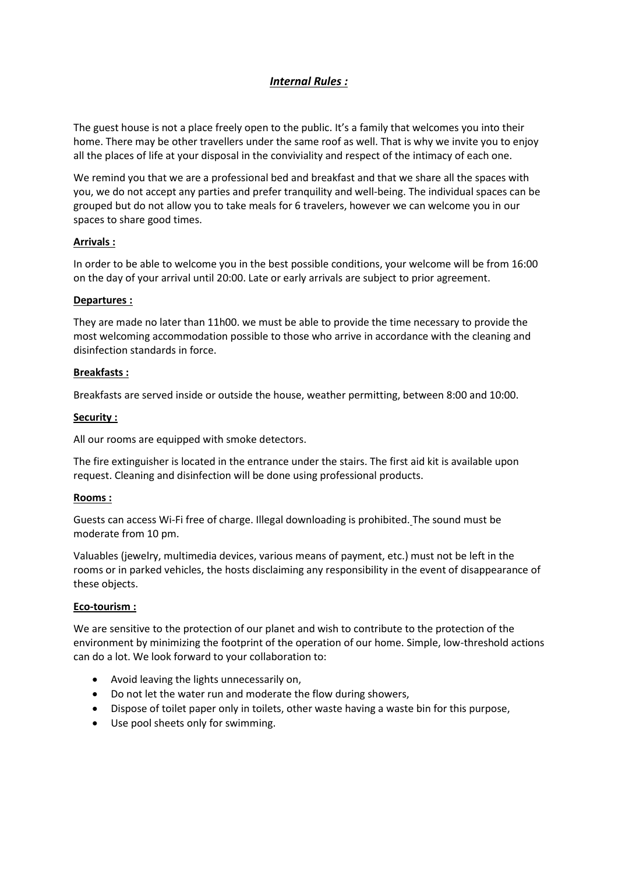# *Internal Rules :*

The guest house is not a place freely open to the public. It's a family that welcomes you into their home. There may be other travellers under the same roof as well. That is why we invite you to enjoy all the places of life at your disposal in the conviviality and respect of the intimacy of each one.

We remind you that we are a professional bed and breakfast and that we share all the spaces with you, we do not accept any parties and prefer tranquility and well-being. The individual spaces can be grouped but do not allow you to take meals for 6 travelers, however we can welcome you in our spaces to share good times.

# **Arrivals :**

In order to be able to welcome you in the best possible conditions, your welcome will be from 16:00 on the day of your arrival until 20:00. Late or early arrivals are subject to prior agreement.

# **Departures :**

They are made no later than 11h00. we must be able to provide the time necessary to provide the most welcoming accommodation possible to those who arrive in accordance with the cleaning and disinfection standards in force.

# **Breakfasts :**

Breakfasts are served inside or outside the house, weather permitting, between 8:00 and 10:00.

# **Security :**

All our rooms are equipped with smoke detectors.

The fire extinguisher is located in the entrance under the stairs. The first aid kit is available upon request. Cleaning and disinfection will be done using professional products.

# **Rooms :**

Guests can access Wi-Fi free of charge. Illegal downloading is prohibited. The sound must be moderate from 10 pm.

Valuables (jewelry, multimedia devices, various means of payment, etc.) must not be left in the rooms or in parked vehicles, the hosts disclaiming any responsibility in the event of disappearance of these objects.

#### **Eco-tourism :**

We are sensitive to the protection of our planet and wish to contribute to the protection of the environment by minimizing the footprint of the operation of our home. Simple, low-threshold actions can do a lot. We look forward to your collaboration to:

- Avoid leaving the lights unnecessarily on,
- Do not let the water run and moderate the flow during showers,
- Dispose of toilet paper only in toilets, other waste having a waste bin for this purpose,
- Use pool sheets only for swimming.